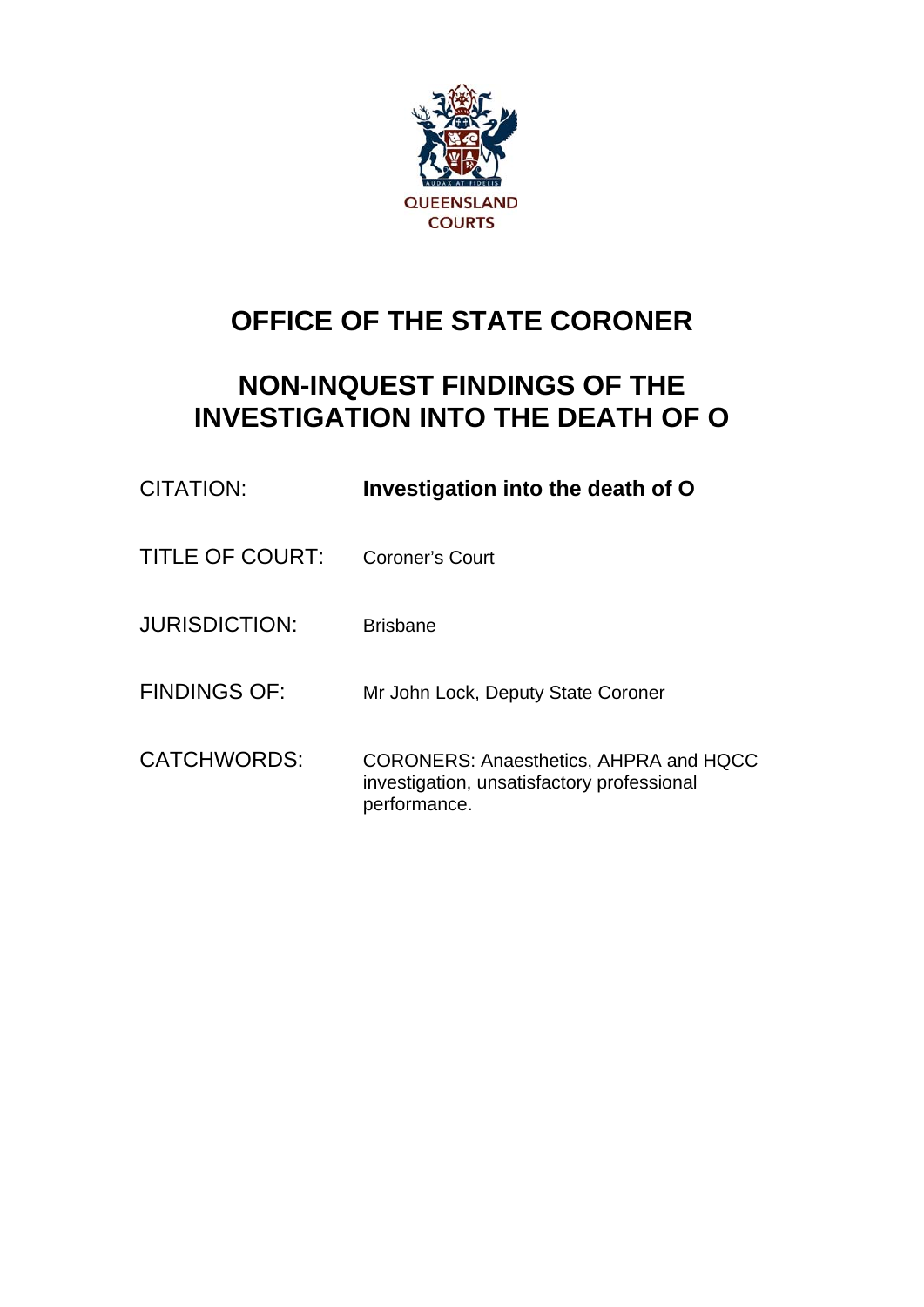

# **OFFICE OF THE STATE CORONER**

## **NON-INQUEST FINDINGS OF THE INVESTIGATION INTO THE DEATH OF O**

| CITATION:              | Investigation into the death of O                                                                    |
|------------------------|------------------------------------------------------------------------------------------------------|
| <b>TITLE OF COURT:</b> | Coroner's Court                                                                                      |
| <b>JURISDICTION:</b>   | <b>Brisbane</b>                                                                                      |
| <b>FINDINGS OF:</b>    | Mr John Lock, Deputy State Coroner                                                                   |
| CATCHWORDS:            | CORONERS: Anaesthetics, AHPRA and HQCC<br>investigation, unsatisfactory professional<br>performance. |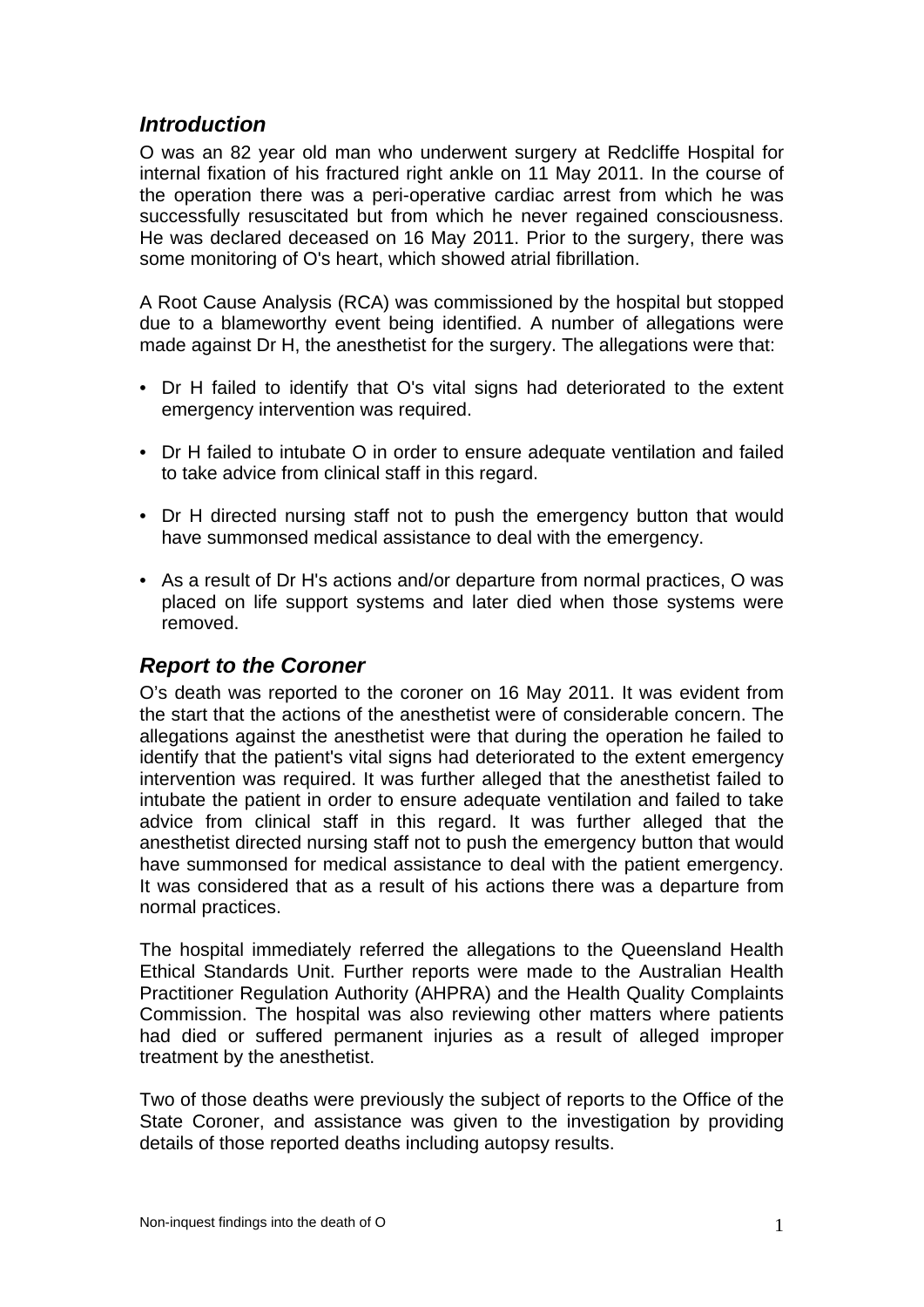## *Introduction*

O was an 82 year old man who underwent surgery at Redcliffe Hospital for internal fixation of his fractured right ankle on 11 May 2011. In the course of the operation there was a peri-operative cardiac arrest from which he was successfully resuscitated but from which he never regained consciousness. He was declared deceased on 16 May 2011. Prior to the surgery, there was some monitoring of O's heart, which showed atrial fibrillation.

A Root Cause Analysis (RCA) was commissioned by the hospital but stopped due to a blameworthy event being identified. A number of allegations were made against Dr H, the anesthetist for the surgery. The allegations were that:

- Dr H failed to identify that O's vital signs had deteriorated to the extent emergency intervention was required.
- Dr H failed to intubate O in order to ensure adequate ventilation and failed to take advice from clinical staff in this regard.
- Dr H directed nursing staff not to push the emergency button that would have summonsed medical assistance to deal with the emergency.
- As a result of Dr H's actions and/or departure from normal practices, O was placed on life support systems and later died when those systems were removed.

## *Report to the Coroner*

O's death was reported to the coroner on 16 May 2011. It was evident from the start that the actions of the anesthetist were of considerable concern. The allegations against the anesthetist were that during the operation he failed to identify that the patient's vital signs had deteriorated to the extent emergency intervention was required. It was further alleged that the anesthetist failed to intubate the patient in order to ensure adequate ventilation and failed to take advice from clinical staff in this regard. It was further alleged that the anesthetist directed nursing staff not to push the emergency button that would have summonsed for medical assistance to deal with the patient emergency. It was considered that as a result of his actions there was a departure from normal practices.

The hospital immediately referred the allegations to the Queensland Health Ethical Standards Unit. Further reports were made to the Australian Health Practitioner Regulation Authority (AHPRA) and the Health Quality Complaints Commission. The hospital was also reviewing other matters where patients had died or suffered permanent injuries as a result of alleged improper treatment by the anesthetist.

Two of those deaths were previously the subject of reports to the Office of the State Coroner, and assistance was given to the investigation by providing details of those reported deaths including autopsy results.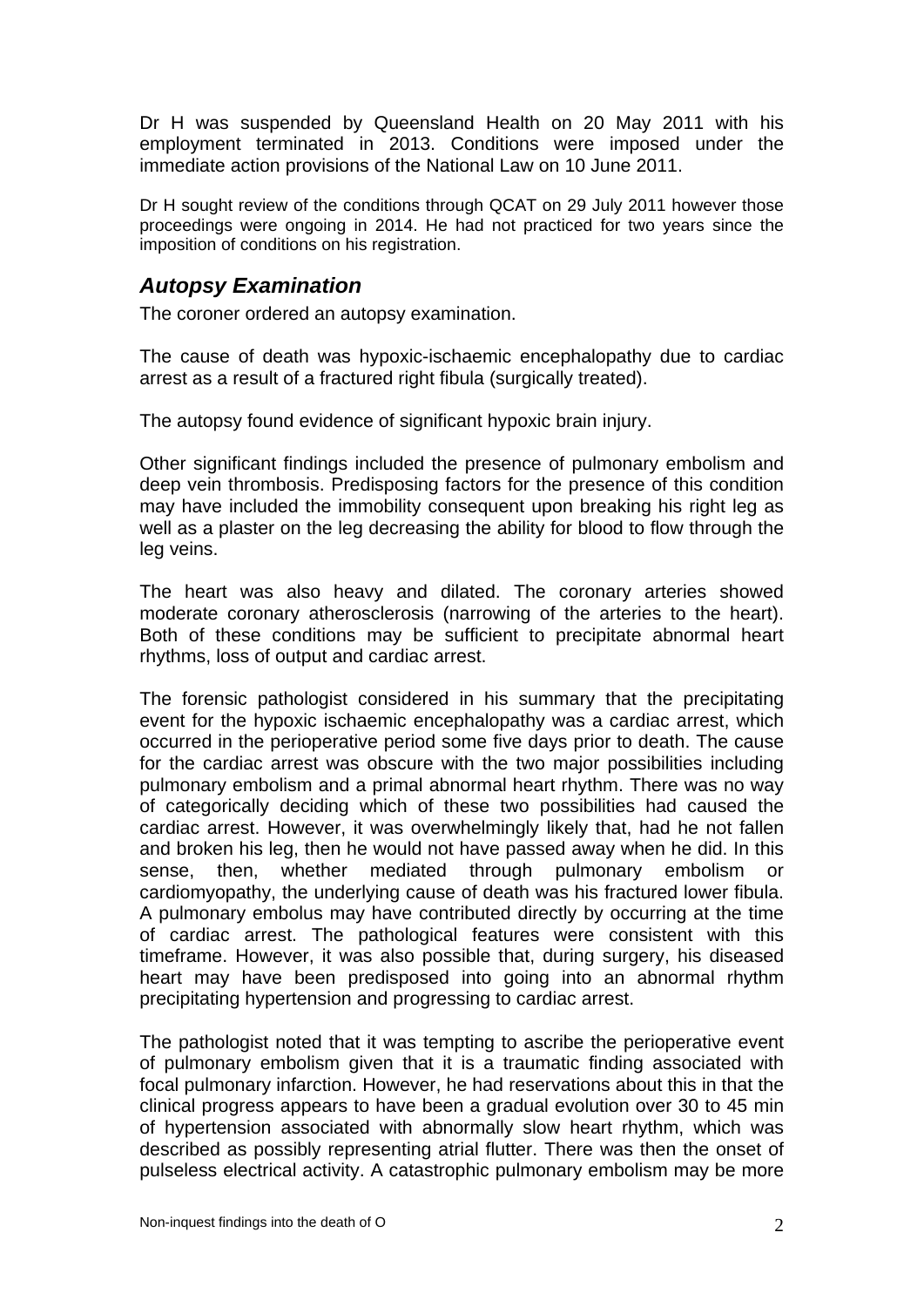Dr H was suspended by Queensland Health on 20 May 2011 with his employment terminated in 2013. Conditions were imposed under the immediate action provisions of the National Law on 10 June 2011.

Dr H sought review of the conditions through QCAT on 29 July 2011 however those proceedings were ongoing in 2014. He had not practiced for two years since the imposition of conditions on his registration.

## *Autopsy Examination*

The coroner ordered an autopsy examination.

The cause of death was hypoxic-ischaemic encephalopathy due to cardiac arrest as a result of a fractured right fibula (surgically treated).

The autopsy found evidence of significant hypoxic brain injury.

Other significant findings included the presence of pulmonary embolism and deep vein thrombosis. Predisposing factors for the presence of this condition may have included the immobility consequent upon breaking his right leg as well as a plaster on the leg decreasing the ability for blood to flow through the leg veins.

The heart was also heavy and dilated. The coronary arteries showed moderate coronary atherosclerosis (narrowing of the arteries to the heart). Both of these conditions may be sufficient to precipitate abnormal heart rhythms, loss of output and cardiac arrest.

The forensic pathologist considered in his summary that the precipitating event for the hypoxic ischaemic encephalopathy was a cardiac arrest, which occurred in the perioperative period some five days prior to death. The cause for the cardiac arrest was obscure with the two major possibilities including pulmonary embolism and a primal abnormal heart rhythm. There was no way of categorically deciding which of these two possibilities had caused the cardiac arrest. However, it was overwhelmingly likely that, had he not fallen and broken his leg, then he would not have passed away when he did. In this sense, then, whether mediated through pulmonary embolism or cardiomyopathy, the underlying cause of death was his fractured lower fibula. A pulmonary embolus may have contributed directly by occurring at the time of cardiac arrest. The pathological features were consistent with this timeframe. However, it was also possible that, during surgery, his diseased heart may have been predisposed into going into an abnormal rhythm precipitating hypertension and progressing to cardiac arrest.

The pathologist noted that it was tempting to ascribe the perioperative event of pulmonary embolism given that it is a traumatic finding associated with focal pulmonary infarction. However, he had reservations about this in that the clinical progress appears to have been a gradual evolution over 30 to 45 min of hypertension associated with abnormally slow heart rhythm, which was described as possibly representing atrial flutter. There was then the onset of pulseless electrical activity. A catastrophic pulmonary embolism may be more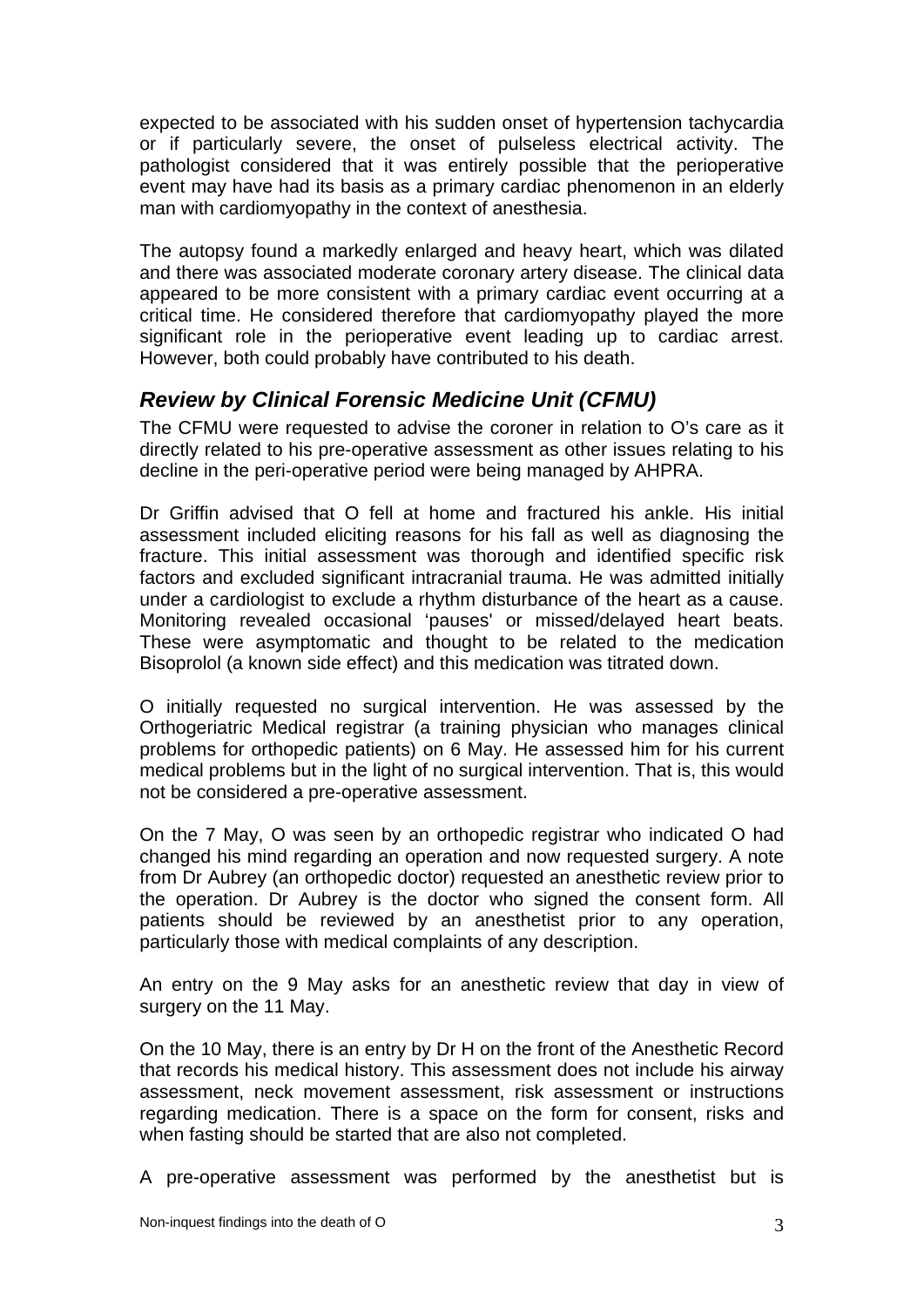expected to be associated with his sudden onset of hypertension tachycardia or if particularly severe, the onset of pulseless electrical activity. The pathologist considered that it was entirely possible that the perioperative event may have had its basis as a primary cardiac phenomenon in an elderly man with cardiomyopathy in the context of anesthesia.

The autopsy found a markedly enlarged and heavy heart, which was dilated and there was associated moderate coronary artery disease. The clinical data appeared to be more consistent with a primary cardiac event occurring at a critical time. He considered therefore that cardiomyopathy played the more significant role in the perioperative event leading up to cardiac arrest. However, both could probably have contributed to his death.

## *Review by Clinical Forensic Medicine Unit (CFMU)*

The CFMU were requested to advise the coroner in relation to O's care as it directly related to his pre-operative assessment as other issues relating to his decline in the peri-operative period were being managed by AHPRA.

Dr Griffin advised that O fell at home and fractured his ankle. His initial assessment included eliciting reasons for his fall as well as diagnosing the fracture. This initial assessment was thorough and identified specific risk factors and excluded significant intracranial trauma. He was admitted initially under a cardiologist to exclude a rhythm disturbance of the heart as a cause. Monitoring revealed occasional 'pauses' or missed/delayed heart beats. These were asymptomatic and thought to be related to the medication Bisoprolol (a known side effect) and this medication was titrated down.

O initially requested no surgical intervention. He was assessed by the Orthogeriatric Medical registrar (a training physician who manages clinical problems for orthopedic patients) on 6 May. He assessed him for his current medical problems but in the light of no surgical intervention. That is, this would not be considered a pre-operative assessment.

On the 7 May, O was seen by an orthopedic registrar who indicated O had changed his mind regarding an operation and now requested surgery. A note from Dr Aubrey (an orthopedic doctor) requested an anesthetic review prior to the operation. Dr Aubrey is the doctor who signed the consent form. All patients should be reviewed by an anesthetist prior to any operation, particularly those with medical complaints of any description.

An entry on the 9 May asks for an anesthetic review that day in view of surgery on the 11 May.

On the 10 May, there is an entry by Dr H on the front of the Anesthetic Record that records his medical history. This assessment does not include his airway assessment, neck movement assessment, risk assessment or instructions regarding medication. There is a space on the form for consent, risks and when fasting should be started that are also not completed.

A pre-operative assessment was performed by the anesthetist but is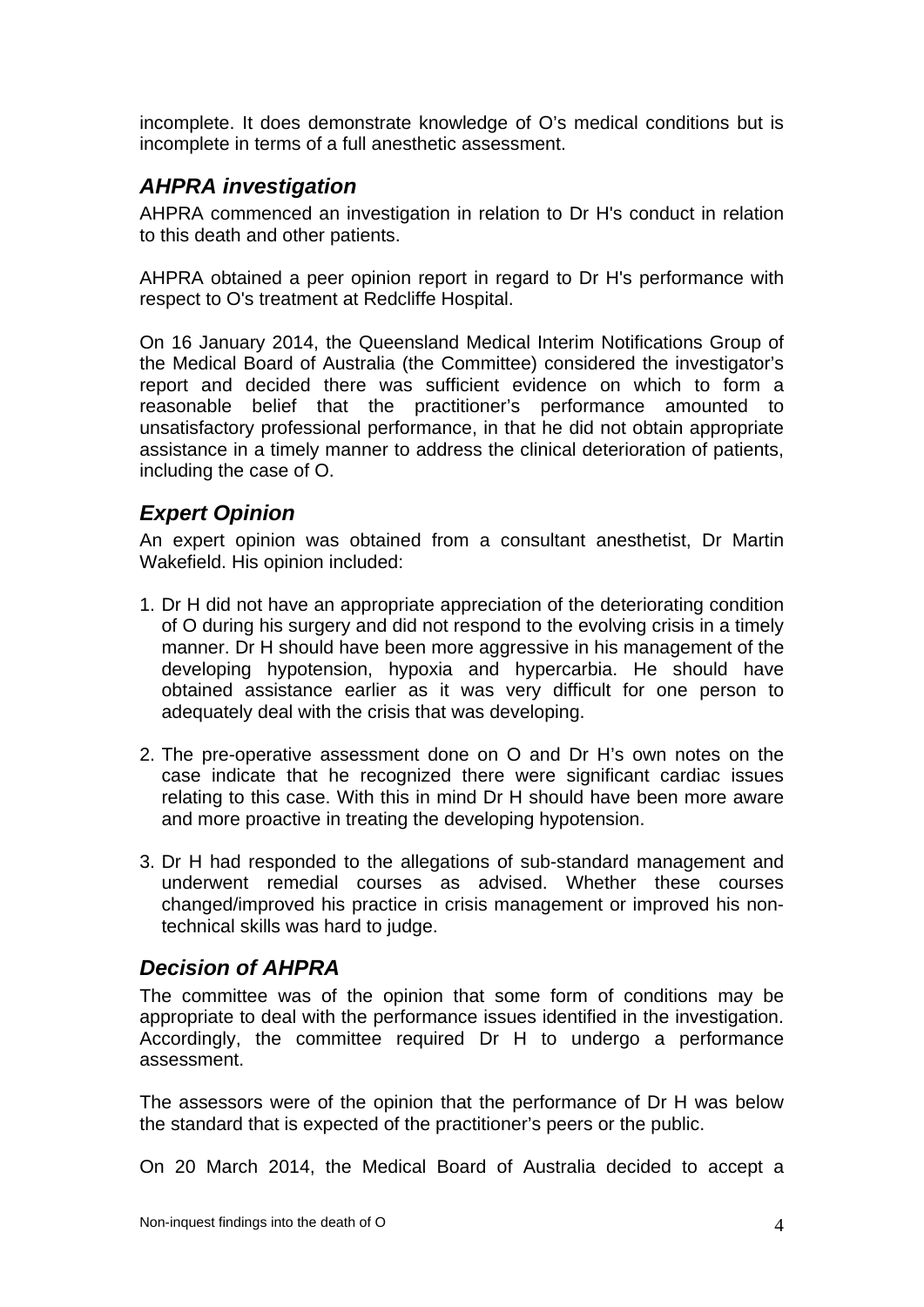incomplete. It does demonstrate knowledge of O's medical conditions but is incomplete in terms of a full anesthetic assessment.

## *AHPRA investigation*

AHPRA commenced an investigation in relation to Dr H's conduct in relation to this death and other patients.

AHPRA obtained a peer opinion report in regard to Dr H's performance with respect to O's treatment at Redcliffe Hospital.

On 16 January 2014, the Queensland Medical Interim Notifications Group of the Medical Board of Australia (the Committee) considered the investigator's report and decided there was sufficient evidence on which to form a reasonable belief that the practitioner's performance amounted to unsatisfactory professional performance, in that he did not obtain appropriate assistance in a timely manner to address the clinical deterioration of patients, including the case of O.

## *Expert Opinion*

An expert opinion was obtained from a consultant anesthetist, Dr Martin Wakefield. His opinion included:

- 1. Dr H did not have an appropriate appreciation of the deteriorating condition of O during his surgery and did not respond to the evolving crisis in a timely manner. Dr H should have been more aggressive in his management of the developing hypotension, hypoxia and hypercarbia. He should have obtained assistance earlier as it was very difficult for one person to adequately deal with the crisis that was developing.
- 2. The pre-operative assessment done on O and Dr H's own notes on the case indicate that he recognized there were significant cardiac issues relating to this case. With this in mind Dr H should have been more aware and more proactive in treating the developing hypotension.
- 3. Dr H had responded to the allegations of sub-standard management and underwent remedial courses as advised. Whether these courses changed/improved his practice in crisis management or improved his nontechnical skills was hard to judge.

## *Decision of AHPRA*

The committee was of the opinion that some form of conditions may be appropriate to deal with the performance issues identified in the investigation. Accordingly, the committee required Dr H to undergo a performance assessment.

The assessors were of the opinion that the performance of Dr H was below the standard that is expected of the practitioner's peers or the public.

On 20 March 2014, the Medical Board of Australia decided to accept a